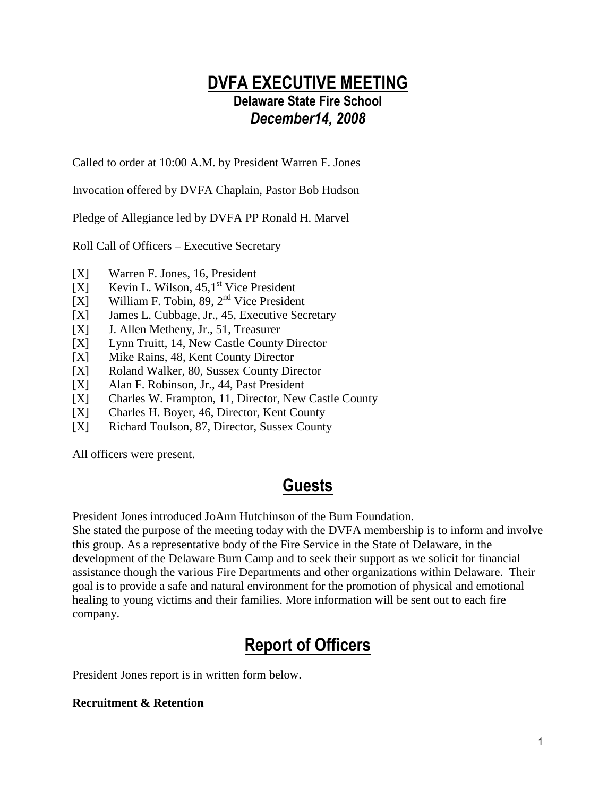## DVFA EXECUTIVE MEETING Delaware State Fire School December14, 2008

Called to order at 10:00 A.M. by President Warren F. Jones

Invocation offered by DVFA Chaplain, Pastor Bob Hudson

Pledge of Allegiance led by DVFA PP Ronald H. Marvel

Roll Call of Officers – Executive Secretary

- [X] Warren F. Jones, 16, President
- [X] Kevin L. Wilson,  $45,1^{\text{st}}$  Vice President
- [X] William F. Tobin, 89,  $2<sup>nd</sup>$  Vice President
- [X] James L. Cubbage, Jr., 45, Executive Secretary
- [X] J. Allen Metheny, Jr., 51, Treasurer
- [X] Lynn Truitt, 14, New Castle County Director
- [X] Mike Rains, 48, Kent County Director
- [X] Roland Walker, 80, Sussex County Director
- [X] Alan F. Robinson, Jr., 44, Past President
- [X] Charles W. Frampton, 11, Director, New Castle County
- [X] Charles H. Boyer, 46, Director, Kent County
- [X] Richard Toulson, 87, Director, Sussex County

All officers were present.

## Guests

President Jones introduced JoAnn Hutchinson of the Burn Foundation.

She stated the purpose of the meeting today with the DVFA membership is to inform and involve this group. As a representative body of the Fire Service in the State of Delaware, in the development of the Delaware Burn Camp and to seek their support as we solicit for financial assistance though the various Fire Departments and other organizations within Delaware. Their goal is to provide a safe and natural environment for the promotion of physical and emotional healing to young victims and their families. More information will be sent out to each fire company.

# Report of Officers

President Jones report is in written form below.

#### **Recruitment & Retention**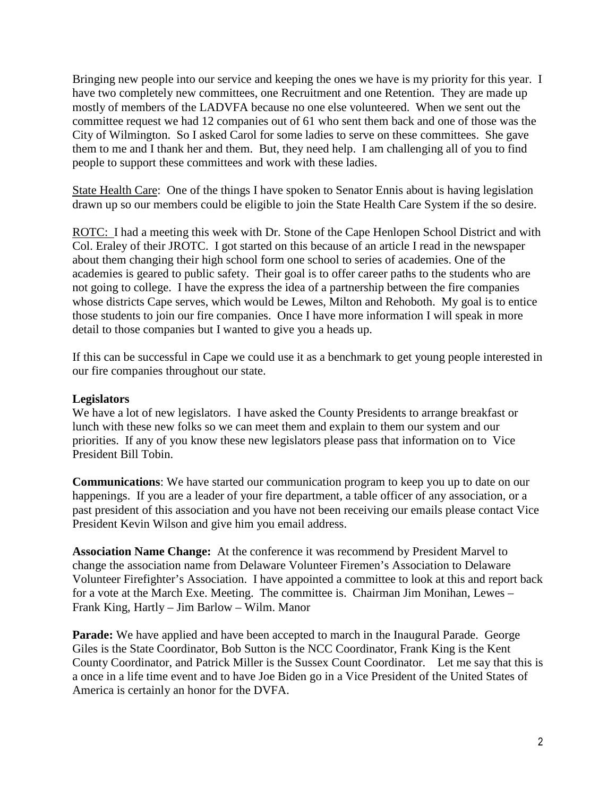Bringing new people into our service and keeping the ones we have is my priority for this year. I have two completely new committees, one Recruitment and one Retention. They are made up mostly of members of the LADVFA because no one else volunteered. When we sent out the committee request we had 12 companies out of 61 who sent them back and one of those was the City of Wilmington. So I asked Carol for some ladies to serve on these committees. She gave them to me and I thank her and them. But, they need help. I am challenging all of you to find people to support these committees and work with these ladies.

State Health Care: One of the things I have spoken to Senator Ennis about is having legislation drawn up so our members could be eligible to join the State Health Care System if the so desire.

ROTC: I had a meeting this week with Dr. Stone of the Cape Henlopen School District and with Col. Eraley of their JROTC. I got started on this because of an article I read in the newspaper about them changing their high school form one school to series of academies. One of the academies is geared to public safety. Their goal is to offer career paths to the students who are not going to college. I have the express the idea of a partnership between the fire companies whose districts Cape serves, which would be Lewes, Milton and Rehoboth. My goal is to entice those students to join our fire companies. Once I have more information I will speak in more detail to those companies but I wanted to give you a heads up.

If this can be successful in Cape we could use it as a benchmark to get young people interested in our fire companies throughout our state.

#### **Legislators**

We have a lot of new legislators. I have asked the County Presidents to arrange breakfast or lunch with these new folks so we can meet them and explain to them our system and our priorities. If any of you know these new legislators please pass that information on to Vice President Bill Tobin.

**Communications**: We have started our communication program to keep you up to date on our happenings. If you are a leader of your fire department, a table officer of any association, or a past president of this association and you have not been receiving our emails please contact Vice President Kevin Wilson and give him you email address.

**Association Name Change:** At the conference it was recommend by President Marvel to change the association name from Delaware Volunteer Firemen's Association to Delaware Volunteer Firefighter's Association. I have appointed a committee to look at this and report back for a vote at the March Exe. Meeting. The committee is. Chairman Jim Monihan, Lewes – Frank King, Hartly – Jim Barlow – Wilm. Manor

**Parade:** We have applied and have been accepted to march in the Inaugural Parade. George Giles is the State Coordinator, Bob Sutton is the NCC Coordinator, Frank King is the Kent County Coordinator, and Patrick Miller is the Sussex Count Coordinator. Let me say that this is a once in a life time event and to have Joe Biden go in a Vice President of the United States of America is certainly an honor for the DVFA.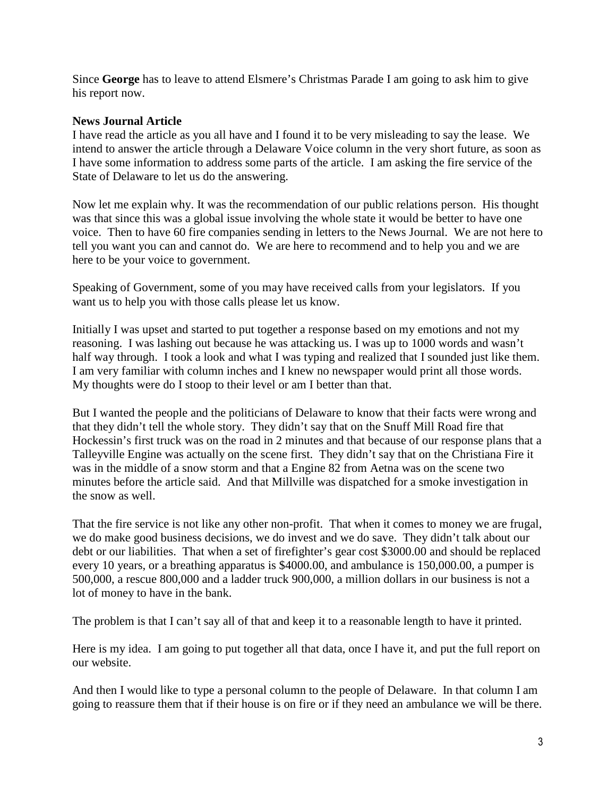Since **George** has to leave to attend Elsmere's Christmas Parade I am going to ask him to give his report now.

#### **News Journal Article**

I have read the article as you all have and I found it to be very misleading to say the lease. We intend to answer the article through a Delaware Voice column in the very short future, as soon as I have some information to address some parts of the article. I am asking the fire service of the State of Delaware to let us do the answering.

Now let me explain why. It was the recommendation of our public relations person. His thought was that since this was a global issue involving the whole state it would be better to have one voice. Then to have 60 fire companies sending in letters to the News Journal. We are not here to tell you want you can and cannot do. We are here to recommend and to help you and we are here to be your voice to government.

Speaking of Government, some of you may have received calls from your legislators. If you want us to help you with those calls please let us know.

Initially I was upset and started to put together a response based on my emotions and not my reasoning. I was lashing out because he was attacking us. I was up to 1000 words and wasn't half way through. I took a look and what I was typing and realized that I sounded just like them. I am very familiar with column inches and I knew no newspaper would print all those words. My thoughts were do I stoop to their level or am I better than that.

But I wanted the people and the politicians of Delaware to know that their facts were wrong and that they didn't tell the whole story. They didn't say that on the Snuff Mill Road fire that Hockessin's first truck was on the road in 2 minutes and that because of our response plans that a Talleyville Engine was actually on the scene first. They didn't say that on the Christiana Fire it was in the middle of a snow storm and that a Engine 82 from Aetna was on the scene two minutes before the article said. And that Millville was dispatched for a smoke investigation in the snow as well.

That the fire service is not like any other non-profit. That when it comes to money we are frugal, we do make good business decisions, we do invest and we do save. They didn't talk about our debt or our liabilities. That when a set of firefighter's gear cost \$3000.00 and should be replaced every 10 years, or a breathing apparatus is \$4000.00, and ambulance is 150,000.00, a pumper is 500,000, a rescue 800,000 and a ladder truck 900,000, a million dollars in our business is not a lot of money to have in the bank.

The problem is that I can't say all of that and keep it to a reasonable length to have it printed.

Here is my idea. I am going to put together all that data, once I have it, and put the full report on our website.

And then I would like to type a personal column to the people of Delaware. In that column I am going to reassure them that if their house is on fire or if they need an ambulance we will be there.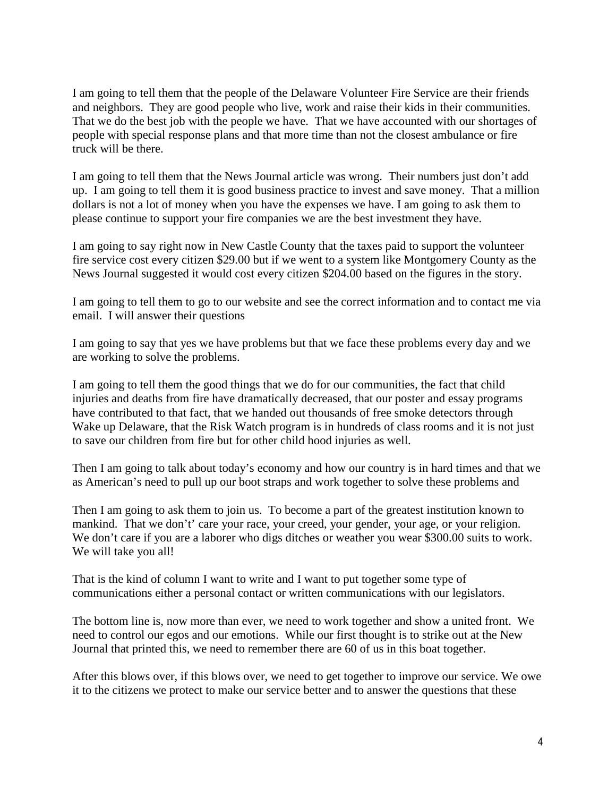I am going to tell them that the people of the Delaware Volunteer Fire Service are their friends and neighbors. They are good people who live, work and raise their kids in their communities. That we do the best job with the people we have. That we have accounted with our shortages of people with special response plans and that more time than not the closest ambulance or fire truck will be there.

I am going to tell them that the News Journal article was wrong. Their numbers just don't add up. I am going to tell them it is good business practice to invest and save money. That a million dollars is not a lot of money when you have the expenses we have. I am going to ask them to please continue to support your fire companies we are the best investment they have.

I am going to say right now in New Castle County that the taxes paid to support the volunteer fire service cost every citizen \$29.00 but if we went to a system like Montgomery County as the News Journal suggested it would cost every citizen \$204.00 based on the figures in the story.

I am going to tell them to go to our website and see the correct information and to contact me via email. I will answer their questions

I am going to say that yes we have problems but that we face these problems every day and we are working to solve the problems.

I am going to tell them the good things that we do for our communities, the fact that child injuries and deaths from fire have dramatically decreased, that our poster and essay programs have contributed to that fact, that we handed out thousands of free smoke detectors through Wake up Delaware, that the Risk Watch program is in hundreds of class rooms and it is not just to save our children from fire but for other child hood injuries as well.

Then I am going to talk about today's economy and how our country is in hard times and that we as American's need to pull up our boot straps and work together to solve these problems and

Then I am going to ask them to join us. To become a part of the greatest institution known to mankind. That we don't' care your race, your creed, your gender, your age, or your religion. We don't care if you are a laborer who digs ditches or weather you wear \$300.00 suits to work. We will take you all!

That is the kind of column I want to write and I want to put together some type of communications either a personal contact or written communications with our legislators.

The bottom line is, now more than ever, we need to work together and show a united front. We need to control our egos and our emotions. While our first thought is to strike out at the New Journal that printed this, we need to remember there are 60 of us in this boat together.

After this blows over, if this blows over, we need to get together to improve our service. We owe it to the citizens we protect to make our service better and to answer the questions that these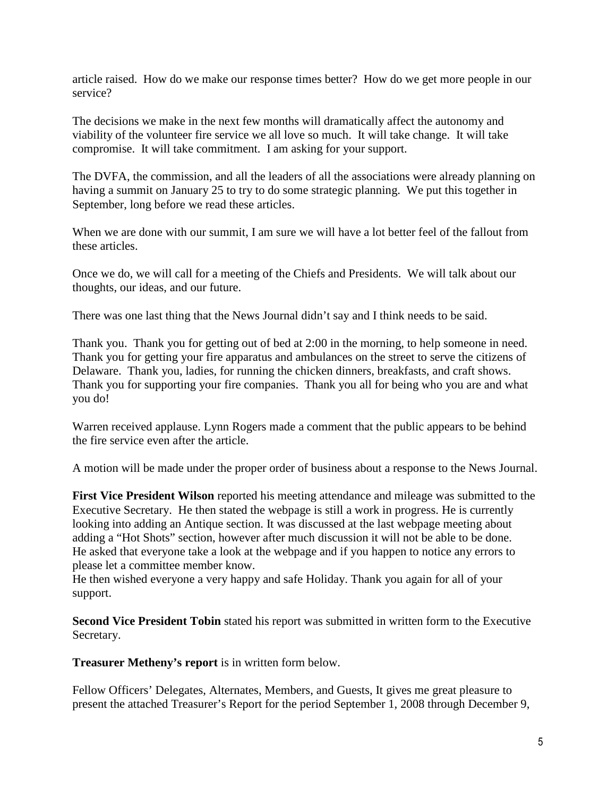article raised. How do we make our response times better? How do we get more people in our service?

The decisions we make in the next few months will dramatically affect the autonomy and viability of the volunteer fire service we all love so much. It will take change. It will take compromise. It will take commitment. I am asking for your support.

The DVFA, the commission, and all the leaders of all the associations were already planning on having a summit on January 25 to try to do some strategic planning. We put this together in September, long before we read these articles.

When we are done with our summit, I am sure we will have a lot better feel of the fallout from these articles.

Once we do, we will call for a meeting of the Chiefs and Presidents. We will talk about our thoughts, our ideas, and our future.

There was one last thing that the News Journal didn't say and I think needs to be said.

Thank you. Thank you for getting out of bed at 2:00 in the morning, to help someone in need. Thank you for getting your fire apparatus and ambulances on the street to serve the citizens of Delaware. Thank you, ladies, for running the chicken dinners, breakfasts, and craft shows. Thank you for supporting your fire companies. Thank you all for being who you are and what you do!

Warren received applause. Lynn Rogers made a comment that the public appears to be behind the fire service even after the article.

A motion will be made under the proper order of business about a response to the News Journal.

**First Vice President Wilson** reported his meeting attendance and mileage was submitted to the Executive Secretary. He then stated the webpage is still a work in progress. He is currently looking into adding an Antique section. It was discussed at the last webpage meeting about adding a "Hot Shots" section, however after much discussion it will not be able to be done. He asked that everyone take a look at the webpage and if you happen to notice any errors to please let a committee member know.

He then wished everyone a very happy and safe Holiday. Thank you again for all of your support.

**Second Vice President Tobin** stated his report was submitted in written form to the Executive Secretary.

**Treasurer Metheny's report** is in written form below.

Fellow Officers' Delegates, Alternates, Members, and Guests, It gives me great pleasure to present the attached Treasurer's Report for the period September 1, 2008 through December 9,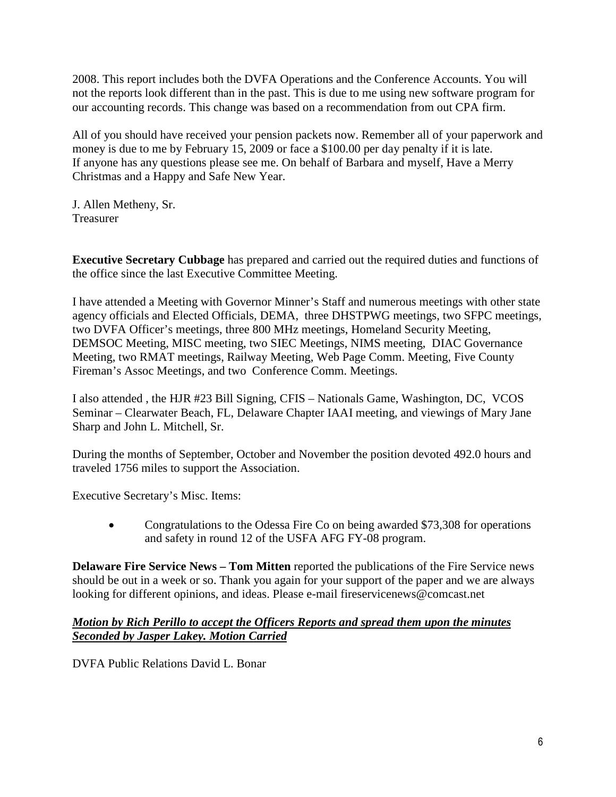2008. This report includes both the DVFA Operations and the Conference Accounts. You will not the reports look different than in the past. This is due to me using new software program for our accounting records. This change was based on a recommendation from out CPA firm.

All of you should have received your pension packets now. Remember all of your paperwork and money is due to me by February 15, 2009 or face a \$100.00 per day penalty if it is late. If anyone has any questions please see me. On behalf of Barbara and myself, Have a Merry Christmas and a Happy and Safe New Year.

J. Allen Metheny, Sr. Treasurer

**Executive Secretary Cubbage** has prepared and carried out the required duties and functions of the office since the last Executive Committee Meeting.

I have attended a Meeting with Governor Minner's Staff and numerous meetings with other state agency officials and Elected Officials, DEMA, three DHSTPWG meetings, two SFPC meetings, two DVFA Officer's meetings, three 800 MHz meetings, Homeland Security Meeting, DEMSOC Meeting, MISC meeting, two SIEC Meetings, NIMS meeting, DIAC Governance Meeting, two RMAT meetings, Railway Meeting, Web Page Comm. Meeting, Five County Fireman's Assoc Meetings, and two Conference Comm. Meetings.

I also attended , the HJR #23 Bill Signing, CFIS – Nationals Game, Washington, DC, VCOS Seminar – Clearwater Beach, FL, Delaware Chapter IAAI meeting, and viewings of Mary Jane Sharp and John L. Mitchell, Sr.

During the months of September, October and November the position devoted 492.0 hours and traveled 1756 miles to support the Association.

Executive Secretary's Misc. Items:

• Congratulations to the Odessa Fire Co on being awarded \$73,308 for operations and safety in round 12 of the USFA AFG FY-08 program.

**Delaware Fire Service News – Tom Mitten** reported the publications of the Fire Service news should be out in a week or so. Thank you again for your support of the paper and we are always looking for different opinions, and ideas. Please e-mail fireservicenews@comcast.net

#### *Motion by Rich Perillo to accept the Officers Reports and spread them upon the minutes Seconded by Jasper Lakey. Motion Carried*

DVFA Public Relations David L. Bonar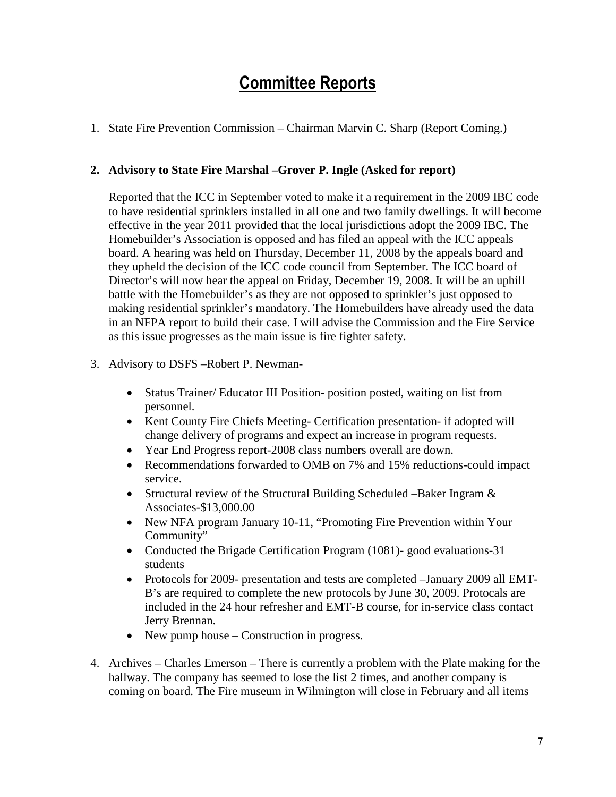## Committee Reports

1. State Fire Prevention Commission – Chairman Marvin C. Sharp (Report Coming.)

### **2. Advisory to State Fire Marshal –Grover P. Ingle (Asked for report)**

Reported that the ICC in September voted to make it a requirement in the 2009 IBC code to have residential sprinklers installed in all one and two family dwellings. It will become effective in the year 2011 provided that the local jurisdictions adopt the 2009 IBC. The Homebuilder's Association is opposed and has filed an appeal with the ICC appeals board. A hearing was held on Thursday, December 11, 2008 by the appeals board and they upheld the decision of the ICC code council from September. The ICC board of Director's will now hear the appeal on Friday, December 19, 2008. It will be an uphill battle with the Homebuilder's as they are not opposed to sprinkler's just opposed to making residential sprinkler's mandatory. The Homebuilders have already used the data in an NFPA report to build their case. I will advise the Commission and the Fire Service as this issue progresses as the main issue is fire fighter safety.

- 3. Advisory to DSFS –Robert P. Newman-
	- Status Trainer/ Educator III Position- position posted, waiting on list from personnel.
	- Kent County Fire Chiefs Meeting- Certification presentation- if adopted will change delivery of programs and expect an increase in program requests.
	- Year End Progress report-2008 class numbers overall are down.
	- Recommendations forwarded to OMB on 7% and 15% reductions-could impact service.
	- Structural review of the Structural Building Scheduled –Baker Ingram  $\&$ Associates-\$13,000.00
	- New NFA program January 10-11, "Promoting Fire Prevention within Your Community"
	- Conducted the Brigade Certification Program (1081)- good evaluations-31 students
	- Protocols for 2009- presentation and tests are completed –January 2009 all EMT-B's are required to complete the new protocols by June 30, 2009. Protocals are included in the 24 hour refresher and EMT-B course, for in-service class contact Jerry Brennan.
	- New pump house Construction in progress.
- 4. Archives Charles Emerson There is currently a problem with the Plate making for the hallway. The company has seemed to lose the list 2 times, and another company is coming on board. The Fire museum in Wilmington will close in February and all items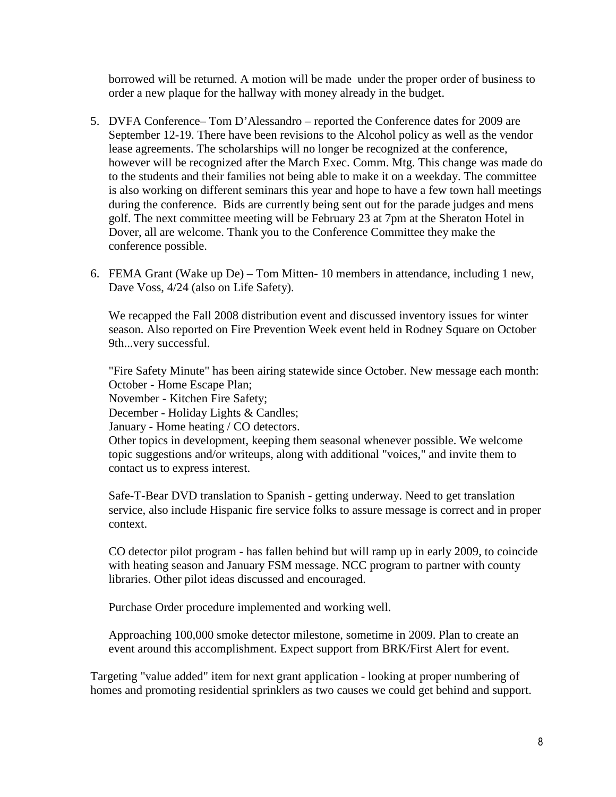borrowed will be returned. A motion will be made under the proper order of business to order a new plaque for the hallway with money already in the budget.

- 5. DVFA Conference– Tom D'Alessandro reported the Conference dates for 2009 are September 12-19. There have been revisions to the Alcohol policy as well as the vendor lease agreements. The scholarships will no longer be recognized at the conference, however will be recognized after the March Exec. Comm. Mtg. This change was made do to the students and their families not being able to make it on a weekday. The committee is also working on different seminars this year and hope to have a few town hall meetings during the conference. Bids are currently being sent out for the parade judges and mens golf. The next committee meeting will be February 23 at 7pm at the Sheraton Hotel in Dover, all are welcome. Thank you to the Conference Committee they make the conference possible.
- 6. FEMA Grant (Wake up De) Tom Mitten- 10 members in attendance, including 1 new, Dave Voss, 4/24 (also on Life Safety).

We recapped the Fall 2008 distribution event and discussed inventory issues for winter season. Also reported on Fire Prevention Week event held in Rodney Square on October 9th...very successful.

"Fire Safety Minute" has been airing statewide since October. New message each month: October - Home Escape Plan;

November - Kitchen Fire Safety;

December - Holiday Lights & Candles;

January - Home heating / CO detectors.

Other topics in development, keeping them seasonal whenever possible. We welcome topic suggestions and/or writeups, along with additional "voices," and invite them to contact us to express interest.

Safe-T-Bear DVD translation to Spanish - getting underway. Need to get translation service, also include Hispanic fire service folks to assure message is correct and in proper context.

CO detector pilot program - has fallen behind but will ramp up in early 2009, to coincide with heating season and January FSM message. NCC program to partner with county libraries. Other pilot ideas discussed and encouraged.

Purchase Order procedure implemented and working well.

Approaching 100,000 smoke detector milestone, sometime in 2009. Plan to create an event around this accomplishment. Expect support from BRK/First Alert for event.

Targeting "value added" item for next grant application - looking at proper numbering of homes and promoting residential sprinklers as two causes we could get behind and support.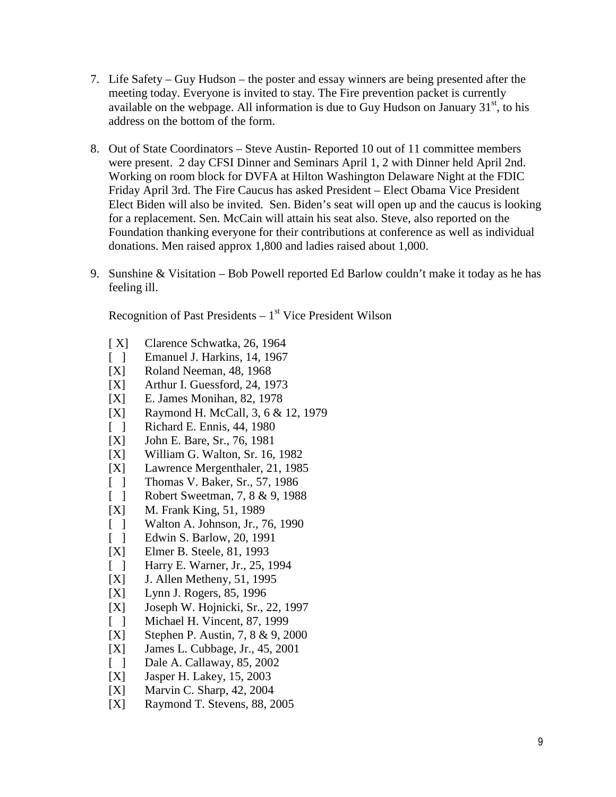- 7. Life Safety Guy Hudson the poster and essay winners are being presented after the meeting today. Everyone is invited to stay. The Fire prevention packet is currently available on the webpage. All information is due to Guy Hudson on January  $31<sup>st</sup>$ , to his address on the bottom of the form.
- 8. Out of State Coordinators Steve Austin- Reported 10 out of 11 committee members were present. 2 day CFSI Dinner and Seminars April 1, 2 with Dinner held April 2nd. Working on room block for DVFA at Hilton Washington Delaware Night at the FDIC Friday April 3rd. The Fire Caucus has asked President – Elect Obama Vice President Elect Biden will also be invited. Sen. Biden's seat will open up and the caucus is looking for a replacement. Sen. McCain will attain his seat also. Steve, also reported on the Foundation thanking everyone for their contributions at conference as well as individual donations. Men raised approx 1,800 and ladies raised about 1,000.
- 9. Sunshine & Visitation Bob Powell reported Ed Barlow couldn't make it today as he has feeling ill.

Recognition of Past Presidents  $-1<sup>st</sup>$  Vice President Wilson

- [X] Clarence Schwatka, 26, 1964
- [ ] Emanuel J. Harkins, 14, 1967
- [X] Roland Neeman, 48, 1968
- [X] Arthur I. Guessford, 24, 1973
- [X] E. James Monihan, 82, 1978
- [X] Raymond H. McCall, 3, 6 & 12, 1979
- [ ] Richard E. Ennis, 44, 1980
- [X] John E. Bare, Sr., 76, 1981
- [X] William G. Walton, Sr. 16, 1982
- [X] Lawrence Mergenthaler, 21, 1985
- [ ] Thomas V. Baker, Sr., 57, 1986
- [ ] Robert Sweetman, 7, 8 & 9, 1988
- [X] M. Frank King, 51, 1989
- [ ] Walton A. Johnson, Jr., 76, 1990
- [ ] Edwin S. Barlow, 20, 1991
- [X] Elmer B. Steele, 81, 1993
- [ ] Harry E. Warner, Jr., 25, 1994
- [X] J. Allen Metheny, 51, 1995
- [X] Lynn J. Rogers, 85, 1996
- [X] Joseph W. Hojnicki, Sr., 22, 1997
- [ ] Michael H. Vincent, 87, 1999
- [X] Stephen P. Austin, 7, 8 & 9, 2000
- [X] James L. Cubbage, Jr., 45, 2001
- [ ] Dale A. Callaway, 85, 2002
- [X] Jasper H. Lakey, 15, 2003
- [X] Marvin C. Sharp, 42, 2004
- [X] Raymond T. Stevens, 88, 2005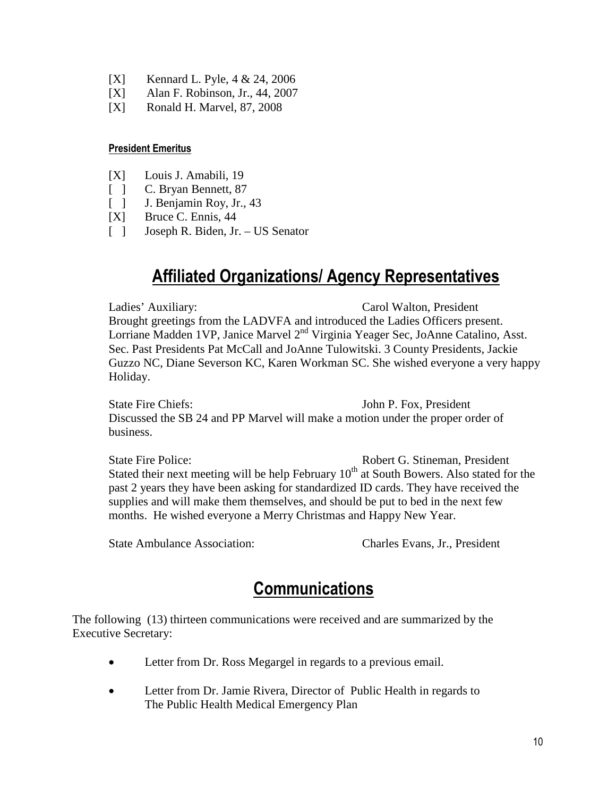- [X] Kennard L. Pyle, 4 & 24, 2006
- [X] Alan F. Robinson, Jr., 44, 2007
- [X] Ronald H. Marvel, 87, 2008

#### President Emeritus

- [X] Louis J. Amabili, 19
- [ ] C. Bryan Bennett, 87
- [ ] J. Benjamin Roy, Jr., 43
- [X] Bruce C. Ennis, 44
- [ ] Joseph R. Biden, Jr. US Senator

## Affiliated Organizations/ Agency Representatives

Ladies' Auxiliary: Carol Walton, President Brought greetings from the LADVFA and introduced the Ladies Officers present. Lorriane Madden 1VP, Janice Marvel 2<sup>nd</sup> Virginia Yeager Sec, JoAnne Catalino, Asst. Sec. Past Presidents Pat McCall and JoAnne Tulowitski. 3 County Presidents, Jackie Guzzo NC, Diane Severson KC, Karen Workman SC. She wished everyone a very happy Holiday.

State Fire Chiefs: John P. Fox, President Discussed the SB 24 and PP Marvel will make a motion under the proper order of business.

State Fire Police: Robert G. Stineman, President Stated their next meeting will be help February  $10<sup>th</sup>$  at South Bowers. Also stated for the past 2 years they have been asking for standardized ID cards. They have received the supplies and will make them themselves, and should be put to bed in the next few months. He wished everyone a Merry Christmas and Happy New Year.

State Ambulance Association: Charles Evans, Jr., President

## **Communications**

The following (13) thirteen communications were received and are summarized by the Executive Secretary:

- Letter from Dr. Ross Megargel in regards to a previous email.
- Letter from Dr. Jamie Rivera, Director of Public Health in regards to The Public Health Medical Emergency Plan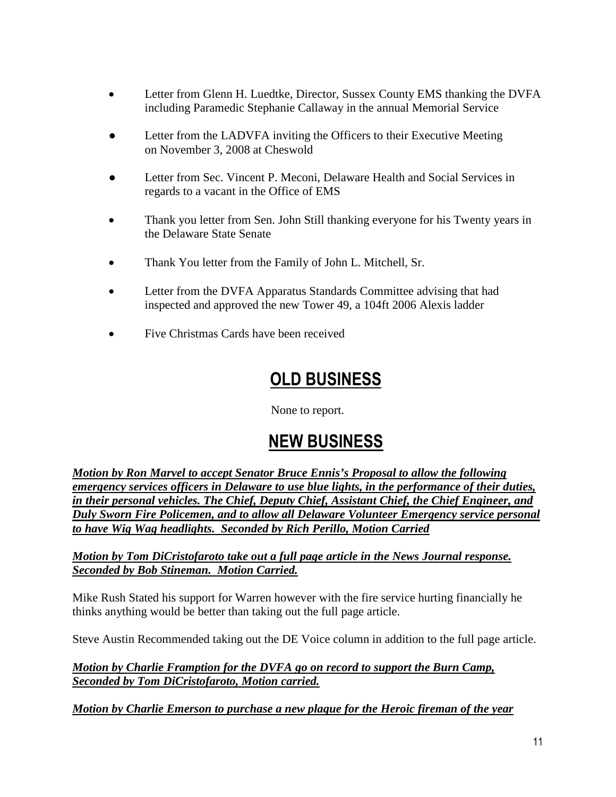- Letter from Glenn H. Luedtke, Director, Sussex County EMS thanking the DVFA including Paramedic Stephanie Callaway in the annual Memorial Service
- Letter from the LADVFA inviting the Officers to their Executive Meeting on November 3, 2008 at Cheswold
- Letter from Sec. Vincent P. Meconi, Delaware Health and Social Services in regards to a vacant in the Office of EMS
- Thank you letter from Sen. John Still thanking everyone for his Twenty years in the Delaware State Senate
- Thank You letter from the Family of John L. Mitchell, Sr.
- Letter from the DVFA Apparatus Standards Committee advising that had inspected and approved the new Tower 49, a 104ft 2006 Alexis ladder
- Five Christmas Cards have been received

# OLD BUSINESS

None to report.

## NEW BUSINESS

*Motion by Ron Marvel to accept Senator Bruce Ennis's Proposal to allow the following emergency services officers in Delaware to use blue lights, in the performance of their duties, in their personal vehicles. The Chief, Deputy Chief, Assistant Chief, the Chief Engineer, and Duly Sworn Fire Policemen, and to allow all Delaware Volunteer Emergency service personal to have Wig Wag headlights. Seconded by Rich Perillo, Motion Carried*

*Motion by Tom DiCristofaroto take out a full page article in the News Journal response. Seconded by Bob Stineman. Motion Carried.* 

Mike Rush Stated his support for Warren however with the fire service hurting financially he thinks anything would be better than taking out the full page article.

Steve Austin Recommended taking out the DE Voice column in addition to the full page article.

*Motion by Charlie Framption for the DVFA go on record to support the Burn Camp, Seconded by Tom DiCristofaroto, Motion carried.*

*Motion by Charlie Emerson to purchase a new plaque for the Heroic fireman of the year*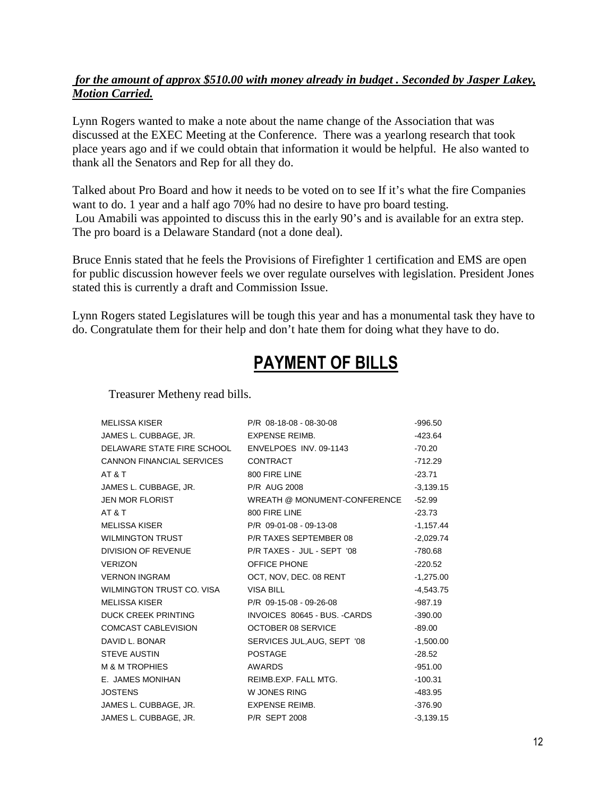### *for the amount of approx \$510.00 with money already in budget . Seconded by Jasper Lakey, Motion Carried.*

Lynn Rogers wanted to make a note about the name change of the Association that was discussed at the EXEC Meeting at the Conference. There was a yearlong research that took place years ago and if we could obtain that information it would be helpful. He also wanted to thank all the Senators and Rep for all they do.

Talked about Pro Board and how it needs to be voted on to see If it's what the fire Companies want to do. 1 year and a half ago 70% had no desire to have pro board testing. Lou Amabili was appointed to discuss this in the early 90's and is available for an extra step. The pro board is a Delaware Standard (not a done deal).

Bruce Ennis stated that he feels the Provisions of Firefighter 1 certification and EMS are open for public discussion however feels we over regulate ourselves with legislation. President Jones stated this is currently a draft and Commission Issue.

Lynn Rogers stated Legislatures will be tough this year and has a monumental task they have to do. Congratulate them for their help and don't hate them for doing what they have to do.

# PAYMENT OF BILLS

Treasurer Metheny read bills.

| <b>MELISSA KISER</b>             | P/R 08-18-08 - 08-30-08       | $-996.50$   |
|----------------------------------|-------------------------------|-------------|
| JAMES L. CUBBAGE, JR.            | <b>EXPENSE REIMB.</b>         | $-423.64$   |
| DELAWARE STATE FIRE SCHOOL       | ENVELPOES INV. 09-1143        | $-70.20$    |
| <b>CANNON FINANCIAL SERVICES</b> | <b>CONTRACT</b>               | $-712.29$   |
| AT&T                             | 800 FIRE LINE                 | $-23.71$    |
| JAMES L. CUBBAGE, JR.            | <b>P/R AUG 2008</b>           | $-3,139.15$ |
| <b>JEN MOR FLORIST</b>           | WREATH @ MONUMENT-CONFERENCE  | -52.99      |
| AT & T                           | 800 FIRE LINE                 | -23.73      |
| <b>MELISSA KISER</b>             | P/R 09-01-08 - 09-13-08       | $-1,157.44$ |
| <b>WILMINGTON TRUST</b>          | P/R TAXES SEPTEMBER 08        | $-2,029.74$ |
| DIVISION OF REVENUE              | P/R TAXES - JUL - SEPT '08    | -780.68     |
| <b>VERIZON</b>                   | <b>OFFICE PHONE</b>           | $-220.52$   |
| <b>VERNON INGRAM</b>             | OCT, NOV, DEC. 08 RENT        | $-1,275.00$ |
| WILMINGTON TRUST CO. VISA        | <b>VISA BILL</b>              | $-4,543.75$ |
| <b>MELISSA KISER</b>             | P/R 09-15-08 - 09-26-08       | $-987.19$   |
| <b>DUCK CREEK PRINTING</b>       | INVOICES 80645 - BUS. - CARDS | $-390.00$   |
| <b>COMCAST CABLEVISION</b>       | <b>OCTOBER 08 SERVICE</b>     | $-89.00$    |
| DAVID L. BONAR                   | SERVICES JUL, AUG, SEPT '08   | $-1,500.00$ |
| <b>STEVE AUSTIN</b>              | <b>POSTAGE</b>                | $-28.52$    |
| <b>M &amp; M TROPHIES</b>        | <b>AWARDS</b>                 | $-951.00$   |
| E. JAMES MONIHAN                 | REIMB.EXP. FALL MTG.          | $-100.31$   |
| <b>JOSTENS</b>                   | W JONES RING                  | -483.95     |
| JAMES L. CUBBAGE, JR.            | EXPENSE REIMB.                | $-376.90$   |
| JAMES L. CUBBAGE, JR.            | <b>P/R SEPT 2008</b>          | $-3.139.15$ |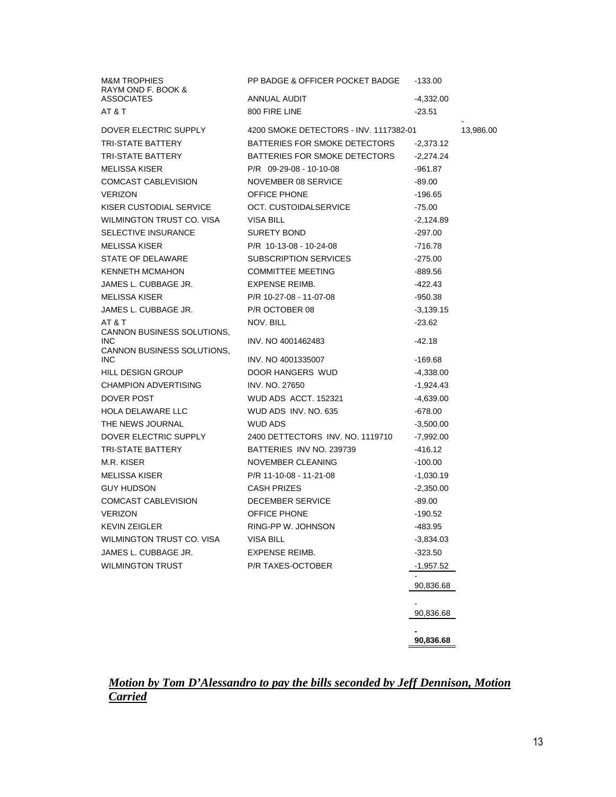| <b>M&amp;M TROPHIES</b>                  | PP BADGE & OFFICER POCKET BADGE        | $-133.00$   |           |
|------------------------------------------|----------------------------------------|-------------|-----------|
| RAYM OND F. BOOK &<br><b>ASSOCIATES</b>  | ANNUAL AUDIT                           | $-4,332.00$ |           |
| AT&T                                     | 800 FIRE LINE                          | $-23.51$    |           |
|                                          |                                        |             |           |
| DOVER ELECTRIC SUPPLY                    | 4200 SMOKE DETECTORS - INV. 1117382-01 |             | 13,986.00 |
| <b>TRI-STATE BATTERY</b>                 | BATTERIES FOR SMOKE DETECTORS          | $-2,373.12$ |           |
| TRI-STATE BATTERY                        | BATTERIES FOR SMOKE DETECTORS          | $-2,274.24$ |           |
| <b>MELISSA KISER</b>                     | $P/R$ 09-29-08 - 10-10-08              | -961.87     |           |
| COMCAST CABLEVISION                      | NOVEMBER 08 SERVICE                    | $-89.00$    |           |
| <b>VERIZON</b>                           | OFFICE PHONE                           | -196.65     |           |
| KISER CUSTODIAL SERVICE                  | OCT. CUSTOIDALSERVICE                  | $-75.00$    |           |
| WILMINGTON TRUST CO. VISA                | <b>VISA BILL</b>                       | -2,124.89   |           |
| SELECTIVE INSURANCE                      | <b>SURETY BOND</b>                     | -297.00     |           |
| MELISSA KISER                            | P/R 10-13-08 - 10-24-08                | -716.78     |           |
| STATE OF DELAWARE                        | SUBSCRIPTION SERVICES                  | $-275.00$   |           |
| <b>KENNETH MCMAHON</b>                   | <b>COMMITTEE MEETING</b>               | -889.56     |           |
| JAMES L. CUBBAGE JR.                     | <b>EXPENSE REIMB.</b>                  | -422.43     |           |
| <b>MELISSA KISER</b>                     | P/R 10-27-08 - 11-07-08                | -950.38     |           |
| JAMES L. CUBBAGE JR.                     | P/R OCTOBER 08                         | $-3,139.15$ |           |
| AT&T                                     | NOV. BILL                              | $-23.62$    |           |
| CANNON BUSINESS SOLUTIONS,               |                                        |             |           |
| <b>INC</b><br>CANNON BUSINESS SOLUTIONS. | INV. NO 4001462483                     | $-42.18$    |           |
| <b>INC</b>                               | INV. NO 4001335007                     | -169.68     |           |
| <b>HILL DESIGN GROUP</b>                 | DOOR HANGERS WUD                       | $-4,338.00$ |           |
| <b>CHAMPION ADVERTISING</b>              | INV. NO. 27650                         | -1,924.43   |           |
| DOVER POST                               | WUD ADS ACCT. 152321                   | $-4,639.00$ |           |
| HOLA DELAWARE LLC                        | WUD ADS INV. NO. 635                   | $-678.00$   |           |
| THE NEWS JOURNAL                         | WUD ADS                                | $-3,500.00$ |           |
| DOVER ELECTRIC SUPPLY                    | 2400 DETTECTORS INV. NO. 1119710       | $-7,992.00$ |           |
| TRI-STATE BATTERY                        | BATTERIES INV NO. 239739               | -416.12     |           |
| M.R. KISER                               | NOVEMBER CLEANING                      | $-100.00$   |           |
| <b>MELISSA KISER</b>                     | P/R 11-10-08 - 11-21-08                | $-1,030.19$ |           |
| <b>GUY HUDSON</b>                        | <b>CASH PRIZES</b>                     | $-2,350.00$ |           |
| COMCAST CABLEVISION                      | DECEMBER SERVICE                       | $-89.00$    |           |
| <b>VERIZON</b>                           | <b>OFFICE PHONE</b>                    | $-190.52$   |           |
| <b>KEVIN ZEIGLER</b>                     | RING-PP W. JOHNSON                     | -483.95     |           |
| WILMINGTON TRUST CO. VISA                | <b>VISA BILL</b>                       |             |           |
| JAMES L. CUBBAGE JR.                     | <b>EXPENSE REIMB.</b>                  | $-3,834.03$ |           |
|                                          |                                        | $-323.50$   |           |
| <b>WILMINGTON TRUST</b>                  | P/R TAXES-OCTOBER                      | $-1,957.52$ |           |
|                                          |                                        | 90,836.68   |           |
|                                          |                                        |             |           |
|                                          |                                        | 90,836.68   |           |
|                                          |                                        |             |           |
|                                          |                                        |             |           |
|                                          |                                        | 90,836.68   |           |

### *Motion by Tom D'Alessandro to pay the bills seconded by Jeff Dennison, Motion Carried*